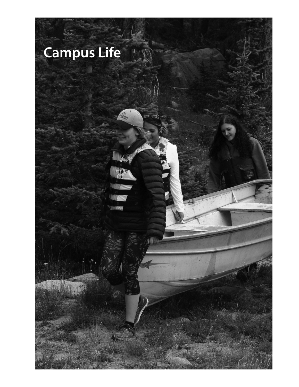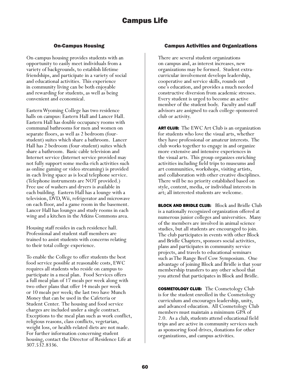### On-Campus Housing

On-campus housing provides students with an opportunity to easily meet individuals from a variety of backgrounds, to establish lifetime friendships, and participate in a variety of social and educational activities. This experience in community living can be both enjoyable and rewarding for students, as well as being convenient and economical.

Eastern Wyoming College has two residence halls on campus: Eastern Hall and Lancer Hall. Eastern Hall has double occupancy rooms with communal bathrooms for men and women on separate floors, as well as 2 bedroom (fourstudent) suites which share a bathroom. Lancer Hall has 2 bedroom (four-student) suites which share a bathroom. Basic cable television and Internet service (Internet service provided may not fully support some media-rich activities such as online gaming or video streaming) is provided in each living space as is local telephone service. (Telephone instruments are NOT provided.) Free use of washers and dryers is available in each building. Eastern Hall has a lounge with a television, DVD, Wii, refrigerator and microwave on each floor, and a game room in the basement. Lancer Hall has lounges and study rooms in each wing and a kitchen in the Atkins Commons area.

Housing staff resides in each residence hall. Professional and student staff members are trained to assist students with concerns relating to their total college experience.

To enable the College to offer students the best food service possible at reasonable costs, EWC requires all students who reside on campus to participate in a meal plan. Food Services offers a full meal plan of 17 meals per week along with two other plans that offer 14 meals per week or 10 meals per week; the last two have Munch Money that can be used in the Cafeteria or Student Center. The housing and food service charges are included under a single contract. Exceptions to the meal plan such as work conflict, religious reasons, class conflicts, vegetarian, weight loss, or health-related diets are not made. For further information concerning student housing, contact the Director of Residence Life at 307.532.8336.

### Campus Activities and Organizations

There are several student organizations on campus and, as interest increases, new organizations may be formed. Student extracurricular involvement develops leadership, cooperative and service skills, rounds out one's education, and provides a much needed constructive diversion from academic stresses. Every student is urged to become an active member of the student body. Faculty and staff advisors are assigned to each college-sponsored club or activity.

ART CLUB: The EWC Art Club is an organization for students who love the visual arts, whether they have professional or amateur interests. The club works together to engage in and organize more extensive and intensive experiences in the visual arts. This group organizes enriching activities including field trips to museums and art communities, workshops, visiting artists, and collaboration with other creative disciplines. There will be no priority established based on style, content, media, or individual interests in art; all interested students are welcome.

**BLOCK AND BRIDLE CLUB:** Block and Bridle Club is a nationally recognized organization offered at numerous junior colleges and universities. Many of the members are involved in animal science studies, but all students are encouraged to join. The club participates in events with other Block and Bridle Chapters, sponsors social activities, plans and participates in community service projects, and travels to educational seminars such as The Range Beef Cow Symposium. One advantage of joining Block and Bridle is that your membership transfers to any other school that you attend that participates in Block and Bridle.

**COSMETOLOGY CLUB:** The Cosmetology Club is for the student enrolled in the Cosmetology curriculum and encourages leadership, unity, and advanced education. All Cosmetology Club members must maintain a minimum GPA of 2.0. As a club, students attend educational field trips and are active in community services such as sponsoring food drives, donations for other organizations, and campus activities.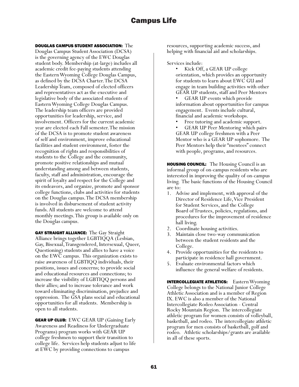#### DOUGLAS CAMPUS STUDENT ASSOCIATION: The

Douglas Campus Student Association (DCSA) is the governing agency of the EWC Douglas student body. Membership (at-large) includes all academic credit fee-paying students attending the Eastern Wyoming College Douglas Campus, as defined by the DCSA Charter. The DCSA Leadership Team, composed of elected officers and representatives act as the executive and legislative body of the associated students of Eastern Wyoming College Douglas Campus. The leadership team officers are provided opportunities for leadership, service, and involvement. Officers for the current academic year are elected each Fall semester. The mission of the DCSA is to promote student awareness of self and environment, improve educational facilities and student environment, foster the recognition of rights and responsibilities of students to the College and the community, promote positive relationships and mutual understanding among and between students, faculty, staff and administration, encourage the spirit of loyalty and respect for the College and its endeavors, and organize, promote and sponsor college functions, clubs and activities for students on the Douglas campus. The DCSA membership is involved in disbursement of student activity funds. All students are welcome to attend monthly meetings. This group is available only on the Douglas campus.

**GAY STRAIGHT ALLIANCE:** The Gay Straight Alliance brings together LGBTIQQA (Lesbian, Gay, Bisexual, Transgendered, Intersexual, Queer, Questioning) students and allies to have a voice on the EWC campus. This organization exists to raise awareness of LGBTIQQ individuals, their positions, issues and concerns; to provide social and educational resources and connections; to increase the visibility of LGBTIQQ persons and their allies; and to increase tolerance and work toward eliminating discrimination, prejudice and oppression. The GSA plans social and educational opportunities for all students. Membership is open to all students.

**GEAR UP CLUB:** EWC GEAR UP (Gaining Early Awareness and Readiness for Undergraduate Programs) program works with GEAR UP college freshmen to support their transition to college life. Services help students adjust to life at EWC by providing connections to campus

resources, supporting academic success, and helping with financial aid and scholarships.

- Services include: Kick Off, a GEAR UP college orientation, which provides an opportunity for students to learn about EWC GU and engage in team building activities with other GEAR UP students, staff and Peer Mentors
	- GEAR UP events which provide information about opportunities for campus engagement. Events include cultural, financial and academic workshops.
	-
	- Free tutoring and academic support.<br>GEAR UP Peer Mentoring which pairs GEAR UP college freshmen with a Peer Mentor who is a GEAR UP sophomore. The Peer Mentors help their "mentees" connect with people, programs, and resources.

HOUSING COUNCIL: The Housing Council is an informal group of on-campus residents who are interested in improving the quality of on-campus living. The basic functions of the Housing Council are to:

- 1. Advise and implement, with approval of the Director of Residence Life, Vice President for Student Services, and the College Board of Trustees, policies, regulations, and procedures for the improvement of residence hall living.
- 2. Coordinate housing activities.
- 3. Maintain close two-way communication between the student residents and the College.
- 4. Provide opportunities for the residents to participate in residence hall government.
- 5. Evaluate environmental factors which influence the general welfare of residents.

INTERCOLLEGIATE ATHLETICS: Eastern Wyoming College belongs to the National Junior College Athletic Association and is a member of Region IX. EWC is also a member of the National Intercollegiate Rodeo Association - Central Rocky Mountain Region. The intercollegiate athletic program for women consists of volleyball, basketball, and rodeo. The intercollegiate athletic program for men consists of basketball, golf and rodeo. Athletic scholarships/grants are available in all of these sports.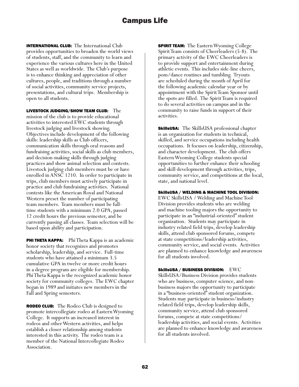INTERNATIONAL CLUB: The International Club provides opportunities to broaden the world views of students, staff, and the community to learn and experience the various cultures here in the United States as well as worldwide. The Club's purpose is to enhance thinking and appreciation of other cultures, people, and traditions through a number of social activities, community service projects, presentations, and cultural trips. Membership is open to all students.

LIVESTOCK JUDGING/SHOW TEAM CLUB: The mission of the club is to provide educational activities to interested EWC students through livestock judging and livestock showing. Objectives include development of the following skills: leadership skills as Club officers, communication skills through oral reasons and fundraising activities, social skills as club members, and decision-making skills through judging practices and show animal selection and contests. Livestock judging club members must be or have enrolled in ANSC 1210. In order to participate in trips, club members must actively participate in practice and club fundraising activities. National contests like the American Royal and National Western preset the number of participating team members. Team members must be fulltime students with a minimum 2.0 GPA, passed 12 credit hours the previous semester, and be currently passing all classes. Team selection will be based upon ability and participation.

**PHI THETA KAPPA:** Phi Theta Kappa is an academic honor society that recognizes and promotes scholarship, leadership, and service. Full-time students who have attained a minimum 3.5 cumulative GPA in twelve or more credit hours in a degree program are eligible for membership. Phi Theta Kappa is the recognized academic honor society for community colleges. The EWC chapter began in 1989 and initiates new members in the Fall and Spring semesters.

RODEO CLUB: The Rodeo Club is designed to promote intercollegiate rodeo at Eastern Wyoming College. It supports an increased interest in rodeos and other Western activities, and helps establish a closer relationship among students interested in this activity. The rodeo team is a member of the National Intercollegiate Rodeo Association.

**SPIRIT TEAM:** The Eastern Wyoming College Spirit Team consists of Cheerleaders (5-8). The primary activity of the EWC Cheerleaders is to provide support and entertainment during athletic events. This includes side-line cheers, pom/dance routines and tumbling. Tryouts are scheduled during the month of April for the following academic calendar year or by appointment with the Spirit Team Sponsor until the spots are filled. The Spirit Team is required to do several activities on campus and in the community to raise funds in support of their activities.

SkillsUSA: The SkillsUSA professional chapter is an organization for students in technical, skilled, and service occupations including health occupations. It focuses on leadership, citizenship, and character development. The club offers Eastern Wyoming College students special opportunities to further enhance their schooling and skill development through activities, trips, community service, and competitions at the local, state, and national level.

#### SkillsUSA / WELDING & MACHINE TOOL DIVISION:

EWC SkillsUSA / Welding and Machine Tool Division provides students who are welding and machine tooling majors the opportunity to participate in an "industrial-oriented" student organization. Students may participate in industry related field trips, develop leadership skills, attend club sponsored forums, compete at state competitions/leadership activities, community service, and social events. Activities are planned to enhance knowledge and awareness for all students involved.

SkillsUSA / BUSINESS DIVISION: EWC SkillsUSA/Business Division provides students who are business, computer science, and nonbusiness majors the opportunity to participate in a "business-oriented" student organization. Students may participate in business/industry related field trips, develop leadership skills, community service, attend club sponsored forums, compete at state competitions/ leadership activities, and social events. Activities are planned to enhance knowledge and awareness for all students involved.